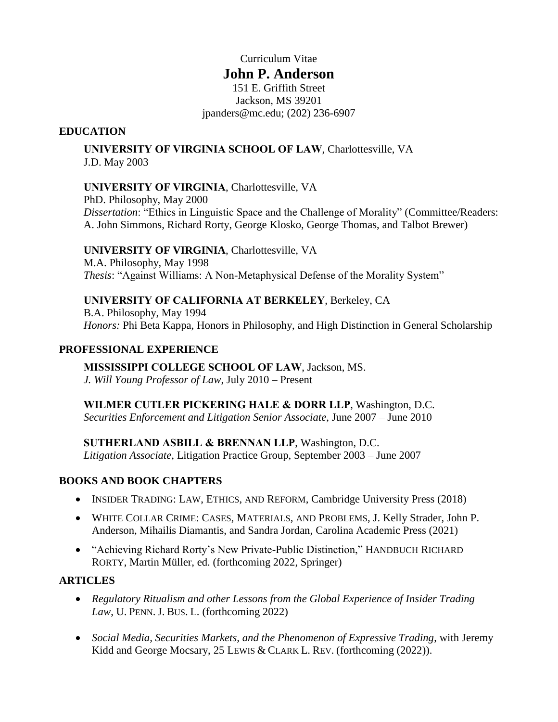### Curriculum Vitae

## **John P. Anderson**

151 E. Griffith Street Jackson, MS 39201 jpanders@mc.edu; (202) 236-6907

#### **EDUCATION**

**UNIVERSITY OF VIRGINIA SCHOOL OF LAW**, Charlottesville, VA J.D. May 2003

### **UNIVERSITY OF VIRGINIA**, Charlottesville, VA

PhD. Philosophy, May 2000 *Dissertation*: "Ethics in Linguistic Space and the Challenge of Morality" (Committee/Readers: A. John Simmons, Richard Rorty, George Klosko, George Thomas, and Talbot Brewer)

### **UNIVERSITY OF VIRGINIA**, Charlottesville, VA

M.A. Philosophy, May 1998 *Thesis*: "Against Williams: A Non-Metaphysical Defense of the Morality System"

#### **UNIVERSITY OF CALIFORNIA AT BERKELEY**, Berkeley, CA B.A. Philosophy, May 1994

*Honors:* Phi Beta Kappa, Honors in Philosophy, and High Distinction in General Scholarship

#### **PROFESSIONAL EXPERIENCE**

**MISSISSIPPI COLLEGE SCHOOL OF LAW**, Jackson, MS. *J. Will Young Professor of Law*, July 2010 – Present

**WILMER CUTLER PICKERING HALE & DORR LLP**, Washington, D.C. *Securities Enforcement and Litigation Senior Associate*, June 2007 – June 2010

**SUTHERLAND ASBILL & BRENNAN LLP**, Washington, D.C.

*Litigation Associate*, Litigation Practice Group, September 2003 – June 2007

## **BOOKS AND BOOK CHAPTERS**

- INSIDER TRADING: LAW, ETHICS, AND REFORM, Cambridge University Press (2018)
- WHITE COLLAR CRIME: CASES, MATERIALS, AND PROBLEMS, J. Kelly Strader, John P. Anderson, Mihailis Diamantis, and Sandra Jordan, Carolina Academic Press (2021)
- "Achieving Richard Rorty's New Private-Public Distinction," HANDBUCH RICHARD RORTY, Martin Müller, ed. (forthcoming 2022, Springer)

#### **ARTICLES**

- *Regulatory Ritualism and other Lessons from the Global Experience of Insider Trading Law*, U. PENN.J. BUS. L. (forthcoming 2022)
- *Social Media, Securities Markets, and the Phenomenon of Expressive Trading*, with Jeremy Kidd and George Mocsary, 25 LEWIS & CLARK L. REV. (forthcoming (2022)).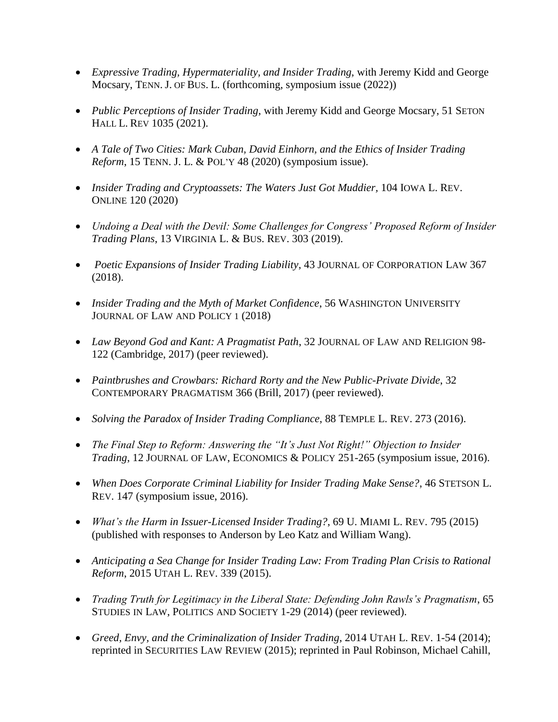- *Expressive Trading, Hypermateriality, and Insider Trading,* with Jeremy Kidd and George Mocsary, TENN. J. OF BUS. L. (forthcoming, symposium issue (2022))
- *Public Perceptions of Insider Trading*, with Jeremy Kidd and George Mocsary, 51 SETON HALL L. REV 1035 (2021).
- *A Tale of Two Cities: Mark Cuban, David Einhorn, and the Ethics of Insider Trading Reform*, 15 TENN. J. L. & POL'Y 48 (2020) (symposium issue).
- Insider Trading and Cryptoassets: The Waters Just Got Muddier, 104 IOWA L. REV. ONLINE 120 (2020)
- *Undoing a Deal with the Devil: Some Challenges for Congress' Proposed Reform of Insider Trading Plans*, 13 VIRGINIA L. & BUS. REV. 303 (2019).
- *Poetic Expansions of Insider Trading Liability*, 43 JOURNAL OF CORPORATION LAW 367 (2018).
- *Insider Trading and the Myth of Market Confidence*, 56 WASHINGTON UNIVERSITY JOURNAL OF LAW AND POLICY 1 (2018)
- *Law Beyond God and Kant: A Pragmatist Path*, 32 JOURNAL OF LAW AND RELIGION 98- 122 (Cambridge, 2017) (peer reviewed).
- *Paintbrushes and Crowbars: Richard Rorty and the New Public-Private Divide*, 32 CONTEMPORARY PRAGMATISM 366 (Brill, 2017) (peer reviewed).
- *Solving the Paradox of Insider Trading Compliance*, 88 TEMPLE L. REV. 273 (2016).
- *The Final Step to Reform: Answering the "It's Just Not Right!" Objection to Insider Trading*, 12 JOURNAL OF LAW, ECONOMICS & POLICY 251-265 (symposium issue, 2016).
- *When Does Corporate Criminal Liability for Insider Trading Make Sense?*, 46 STETSON L. REV. 147 (symposium issue, 2016).
- *What's the Harm in Issuer-Licensed Insider Trading?*, 69 U. MIAMI L. REV. 795 (2015) (published with responses to Anderson by Leo Katz and William Wang).
- *Anticipating a Sea Change for Insider Trading Law: From Trading Plan Crisis to Rational Reform*, 2015 UTAH L. REV. 339 (2015).
- *Trading Truth for Legitimacy in the Liberal State: Defending John Rawls's Pragmatism*, 65 STUDIES IN LAW, POLITICS AND SOCIETY 1-29 (2014) (peer reviewed).
- *Greed, Envy, and the Criminalization of Insider Trading*, 2014 UTAH L. REV. 1-54 (2014); reprinted in SECURITIES LAW REVIEW (2015); reprinted in Paul Robinson, Michael Cahill,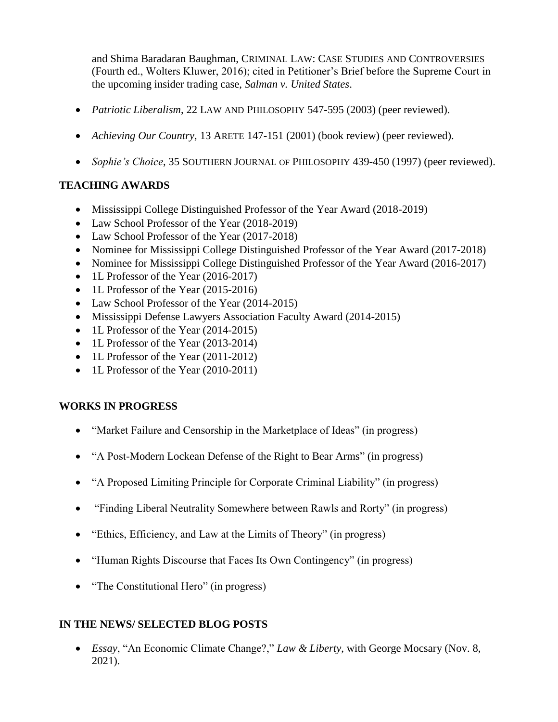and Shima Baradaran Baughman, CRIMINAL LAW: CASE STUDIES AND CONTROVERSIES (Fourth ed., Wolters Kluwer, 2016); cited in Petitioner's Brief before the Supreme Court in the upcoming insider trading case, *Salman v. United States*.

- *Patriotic Liberalism*, 22 LAW AND PHILOSOPHY 547-595 (2003) (peer reviewed).
- Achieving Our Country, 13 ARETE 147-151 (2001) (book review) (peer reviewed).
- *Sophie's Choice*, 35 SOUTHERN JOURNAL OF PHILOSOPHY 439-450 (1997) (peer reviewed).

## **TEACHING AWARDS**

- Mississippi College Distinguished Professor of the Year Award (2018-2019)
- Law School Professor of the Year (2018-2019)
- Law School Professor of the Year (2017-2018)
- Nominee for Mississippi College Distinguished Professor of the Year Award (2017-2018)
- Nominee for Mississippi College Distinguished Professor of the Year Award (2016-2017)
- 1L Professor of the Year (2016-2017)
- 1L Professor of the Year (2015-2016)
- Law School Professor of the Year (2014-2015)
- Mississippi Defense Lawyers Association Faculty Award (2014-2015)
- 1L Professor of the Year (2014-2015)
- 1L Professor of the Year (2013-2014)
- 1L Professor of the Year (2011-2012)
- 1L Professor of the Year (2010-2011)

## **WORKS IN PROGRESS**

- "Market Failure and Censorship in the Marketplace of Ideas" (in progress)
- "A Post-Modern Lockean Defense of the Right to Bear Arms" (in progress)
- "A Proposed Limiting Principle for Corporate Criminal Liability" (in progress)
- "Finding Liberal Neutrality Somewhere between Rawls and Rorty" (in progress)
- "Ethics, Efficiency, and Law at the Limits of Theory" (in progress)
- "Human Rights Discourse that Faces Its Own Contingency" (in progress)
- "The Constitutional Hero" (in progress)

## **IN THE NEWS/ SELECTED BLOG POSTS**

 *Essay*, "An Economic Climate Change?," *Law & Liberty*, with George Mocsary (Nov. 8, 2021).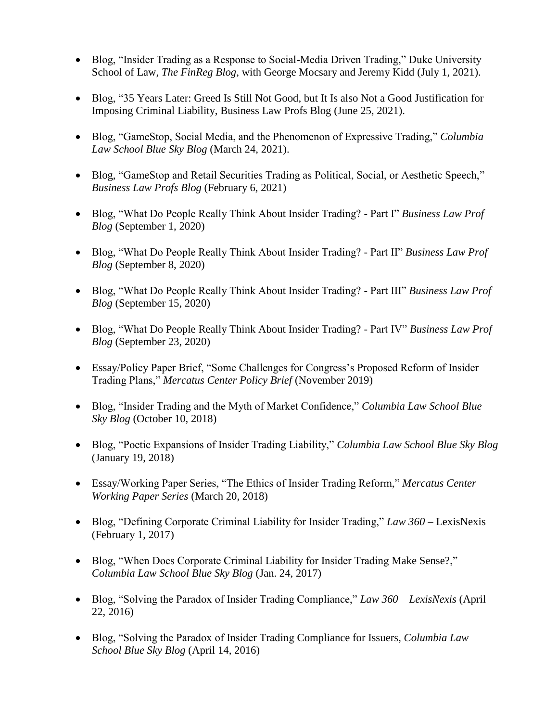- Blog, "Insider Trading as a Response to Social-Media Driven Trading," Duke University School of Law, *The FinReg Blog*, with George Mocsary and Jeremy Kidd (July 1, 2021).
- Blog, "35 Years Later: Greed Is Still Not Good, but It Is also Not a Good Justification for Imposing Criminal Liability, Business Law Profs Blog (June 25, 2021).
- Blog, "GameStop, Social Media, and the Phenomenon of Expressive Trading," *Columbia Law School Blue Sky Blog* (March 24, 2021).
- Blog, "GameStop and Retail Securities Trading as Political, Social, or Aesthetic Speech," *Business Law Profs Blog* (February 6, 2021)
- Blog, "What Do People Really Think About Insider Trading? Part I" *Business Law Prof Blog* (September 1, 2020)
- Blog, "What Do People Really Think About Insider Trading? Part II" *Business Law Prof Blog* (September 8, 2020)
- Blog, "What Do People Really Think About Insider Trading? Part III" *Business Law Prof Blog* (September 15, 2020)
- Blog, "What Do People Really Think About Insider Trading? Part IV" *Business Law Prof Blog* (September 23, 2020)
- Essay/Policy Paper Brief, "Some Challenges for Congress's Proposed Reform of Insider Trading Plans," *Mercatus Center Policy Brief* (November 2019)
- Blog, "Insider Trading and the Myth of Market Confidence," *Columbia Law School Blue Sky Blog* (October 10, 2018)
- Blog, "Poetic Expansions of Insider Trading Liability," *Columbia Law School Blue Sky Blog* (January 19, 2018)
- Essay/Working Paper Series, "The Ethics of Insider Trading Reform," *Mercatus Center Working Paper Series* (March 20, 2018)
- Blog, "Defining Corporate Criminal Liability for Insider Trading," *Law 360* LexisNexis (February 1, 2017)
- Blog, "When Does Corporate Criminal Liability for Insider Trading Make Sense?," *Columbia Law School Blue Sky Blog* (Jan. 24, 2017)
- Blog, "Solving the Paradox of Insider Trading Compliance," *Law 360 – LexisNexis* (April 22, 2016)
- Blog, "Solving the Paradox of Insider Trading Compliance for Issuers, *Columbia Law School Blue Sky Blog* (April 14, 2016)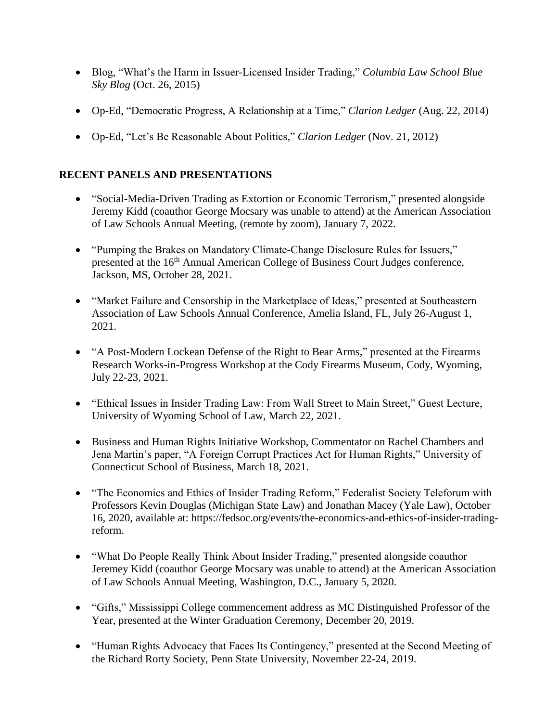- Blog, "What's the Harm in Issuer-Licensed Insider Trading," *Columbia Law School Blue Sky Blog* (Oct. 26, 2015)
- Op-Ed, "Democratic Progress, A Relationship at a Time," *Clarion Ledger* (Aug. 22, 2014)
- Op-Ed, "Let's Be Reasonable About Politics," *Clarion Ledger* (Nov. 21, 2012)

# **RECENT PANELS AND PRESENTATIONS**

- "Social-Media-Driven Trading as Extortion or Economic Terrorism," presented alongside Jeremy Kidd (coauthor George Mocsary was unable to attend) at the American Association of Law Schools Annual Meeting, (remote by zoom), January 7, 2022.
- "Pumping the Brakes on Mandatory Climate-Change Disclosure Rules for Issuers," presented at the 16<sup>th</sup> Annual American College of Business Court Judges conference, Jackson, MS, October 28, 2021.
- "Market Failure and Censorship in the Marketplace of Ideas," presented at Southeastern Association of Law Schools Annual Conference, Amelia Island, FL, July 26-August 1, 2021.
- "A Post-Modern Lockean Defense of the Right to Bear Arms," presented at the Firearms Research Works-in-Progress Workshop at the Cody Firearms Museum, Cody, Wyoming, July 22-23, 2021.
- "Ethical Issues in Insider Trading Law: From Wall Street to Main Street," Guest Lecture, University of Wyoming School of Law, March 22, 2021.
- Business and Human Rights Initiative Workshop, Commentator on Rachel Chambers and Jena Martin's paper, "A Foreign Corrupt Practices Act for Human Rights," University of Connecticut School of Business, March 18, 2021.
- "The Economics and Ethics of Insider Trading Reform," Federalist Society Teleforum with Professors Kevin Douglas (Michigan State Law) and Jonathan Macey (Yale Law), October 16, 2020, available at: https://fedsoc.org/events/the-economics-and-ethics-of-insider-tradingreform.
- "What Do People Really Think About Insider Trading," presented alongside coauthor Jeremey Kidd (coauthor George Mocsary was unable to attend) at the American Association of Law Schools Annual Meeting, Washington, D.C., January 5, 2020.
- "Gifts," Mississippi College commencement address as MC Distinguished Professor of the Year, presented at the Winter Graduation Ceremony, December 20, 2019.
- "Human Rights Advocacy that Faces Its Contingency," presented at the Second Meeting of the Richard Rorty Society, Penn State University, November 22-24, 2019.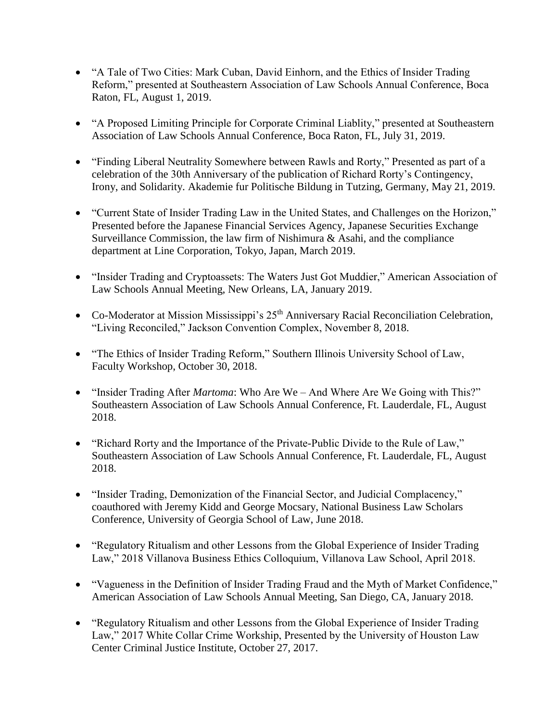- "A Tale of Two Cities: Mark Cuban, David Einhorn, and the Ethics of Insider Trading Reform," presented at Southeastern Association of Law Schools Annual Conference, Boca Raton, FL, August 1, 2019.
- "A Proposed Limiting Principle for Corporate Criminal Liablity," presented at Southeastern Association of Law Schools Annual Conference, Boca Raton, FL, July 31, 2019.
- "Finding Liberal Neutrality Somewhere between Rawls and Rorty," Presented as part of a celebration of the 30th Anniversary of the publication of Richard Rorty's Contingency, Irony, and Solidarity. Akademie fur Politische Bildung in Tutzing, Germany, May 21, 2019.
- "Current State of Insider Trading Law in the United States, and Challenges on the Horizon," Presented before the Japanese Financial Services Agency, Japanese Securities Exchange Surveillance Commission, the law firm of Nishimura & Asahi, and the compliance department at Line Corporation, Tokyo, Japan, March 2019.
- "Insider Trading and Cryptoassets: The Waters Just Got Muddier," American Association of Law Schools Annual Meeting, New Orleans, LA, January 2019.
- Co-Moderator at Mission Mississippi's 25<sup>th</sup> Anniversary Racial Reconciliation Celebration, "Living Reconciled," Jackson Convention Complex, November 8, 2018.
- "The Ethics of Insider Trading Reform," Southern Illinois University School of Law, Faculty Workshop, October 30, 2018.
- "Insider Trading After *Martoma*: Who Are We And Where Are We Going with This?" Southeastern Association of Law Schools Annual Conference, Ft. Lauderdale, FL, August 2018.
- "Richard Rorty and the Importance of the Private-Public Divide to the Rule of Law," Southeastern Association of Law Schools Annual Conference, Ft. Lauderdale, FL, August 2018.
- "Insider Trading, Demonization of the Financial Sector, and Judicial Complacency," coauthored with Jeremy Kidd and George Mocsary, National Business Law Scholars Conference, University of Georgia School of Law, June 2018.
- "Regulatory Ritualism and other Lessons from the Global Experience of Insider Trading Law," 2018 Villanova Business Ethics Colloquium, Villanova Law School, April 2018.
- "Vagueness in the Definition of Insider Trading Fraud and the Myth of Market Confidence," American Association of Law Schools Annual Meeting, San Diego, CA, January 2018.
- "Regulatory Ritualism and other Lessons from the Global Experience of Insider Trading Law," 2017 White Collar Crime Workship, Presented by the University of Houston Law Center Criminal Justice Institute, October 27, 2017.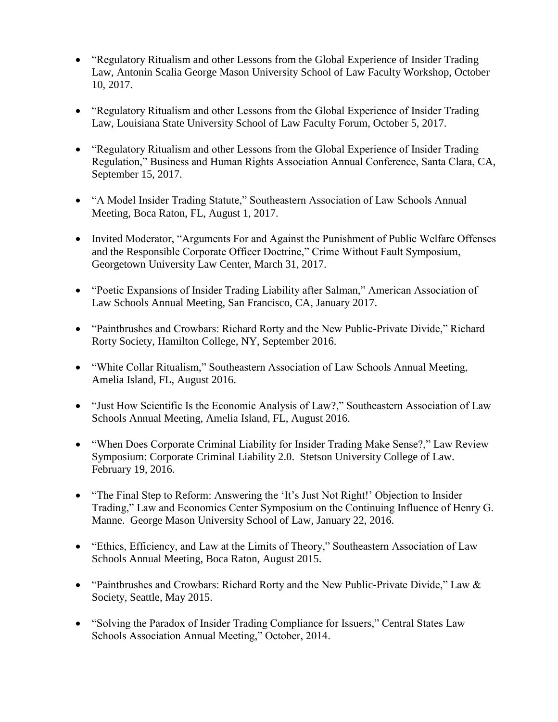- "Regulatory Ritualism and other Lessons from the Global Experience of Insider Trading Law, Antonin Scalia George Mason University School of Law Faculty Workshop, October 10, 2017.
- "Regulatory Ritualism and other Lessons from the Global Experience of Insider Trading Law, Louisiana State University School of Law Faculty Forum, October 5, 2017.
- "Regulatory Ritualism and other Lessons from the Global Experience of Insider Trading Regulation," Business and Human Rights Association Annual Conference, Santa Clara, CA, September 15, 2017.
- "A Model Insider Trading Statute," Southeastern Association of Law Schools Annual Meeting, Boca Raton, FL, August 1, 2017.
- Invited Moderator, "Arguments For and Against the Punishment of Public Welfare Offenses and the Responsible Corporate Officer Doctrine," Crime Without Fault Symposium, Georgetown University Law Center, March 31, 2017.
- "Poetic Expansions of Insider Trading Liability after Salman," American Association of Law Schools Annual Meeting, San Francisco, CA, January 2017.
- "Paintbrushes and Crowbars: Richard Rorty and the New Public-Private Divide," Richard Rorty Society, Hamilton College, NY, September 2016.
- "White Collar Ritualism," Southeastern Association of Law Schools Annual Meeting, Amelia Island, FL, August 2016.
- "Just How Scientific Is the Economic Analysis of Law?," Southeastern Association of Law Schools Annual Meeting, Amelia Island, FL, August 2016.
- "When Does Corporate Criminal Liability for Insider Trading Make Sense?," Law Review Symposium: Corporate Criminal Liability 2.0. Stetson University College of Law. February 19, 2016.
- "The Final Step to Reform: Answering the 'It's Just Not Right!' Objection to Insider Trading," Law and Economics Center Symposium on the Continuing Influence of Henry G. Manne. George Mason University School of Law, January 22, 2016.
- "Ethics, Efficiency, and Law at the Limits of Theory," Southeastern Association of Law Schools Annual Meeting, Boca Raton, August 2015.
- "Paintbrushes and Crowbars: Richard Rorty and the New Public-Private Divide," Law & Society, Seattle, May 2015.
- "Solving the Paradox of Insider Trading Compliance for Issuers," Central States Law Schools Association Annual Meeting," October, 2014.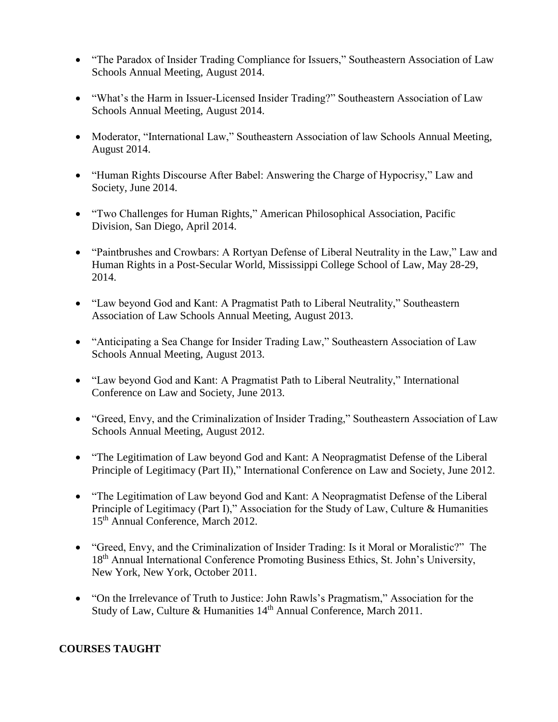- "The Paradox of Insider Trading Compliance for Issuers," Southeastern Association of Law Schools Annual Meeting, August 2014.
- "What's the Harm in Issuer-Licensed Insider Trading?" Southeastern Association of Law Schools Annual Meeting, August 2014.
- Moderator, "International Law," Southeastern Association of law Schools Annual Meeting, August 2014.
- "Human Rights Discourse After Babel: Answering the Charge of Hypocrisy," Law and Society, June 2014.
- "Two Challenges for Human Rights," American Philosophical Association, Pacific Division, San Diego, April 2014.
- "Paintbrushes and Crowbars: A Rortyan Defense of Liberal Neutrality in the Law," Law and Human Rights in a Post-Secular World, Mississippi College School of Law, May 28-29, 2014.
- "Law beyond God and Kant: A Pragmatist Path to Liberal Neutrality," Southeastern Association of Law Schools Annual Meeting, August 2013.
- "Anticipating a Sea Change for Insider Trading Law," Southeastern Association of Law Schools Annual Meeting, August 2013.
- "Law beyond God and Kant: A Pragmatist Path to Liberal Neutrality," International Conference on Law and Society, June 2013.
- "Greed, Envy, and the Criminalization of Insider Trading," Southeastern Association of Law Schools Annual Meeting, August 2012.
- "The Legitimation of Law beyond God and Kant: A Neopragmatist Defense of the Liberal Principle of Legitimacy (Part II)," International Conference on Law and Society, June 2012.
- "The Legitimation of Law beyond God and Kant: A Neopragmatist Defense of the Liberal Principle of Legitimacy (Part I)," Association for the Study of Law, Culture & Humanities 15<sup>th</sup> Annual Conference, March 2012.
- "Greed, Envy, and the Criminalization of Insider Trading: Is it Moral or Moralistic?" The 18<sup>th</sup> Annual International Conference Promoting Business Ethics, St. John's University, New York, New York, October 2011.
- "On the Irrelevance of Truth to Justice: John Rawls's Pragmatism," Association for the Study of Law, Culture & Humanities 14<sup>th</sup> Annual Conference, March 2011.

# **COURSES TAUGHT**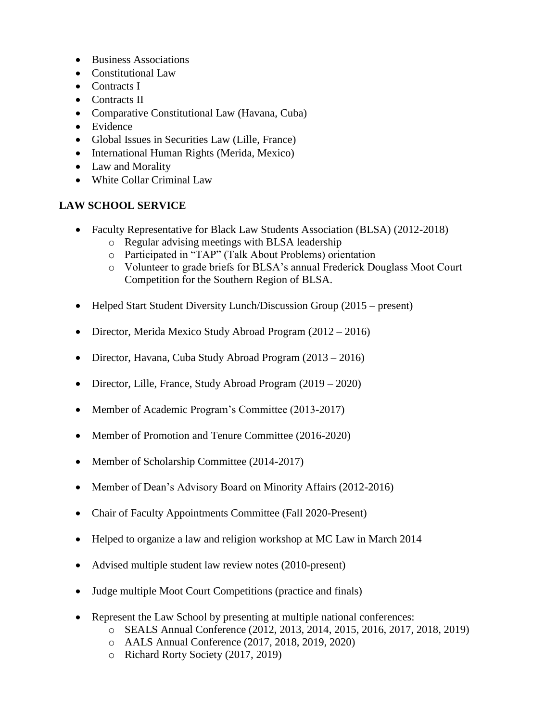- Business Associations
- Constitutional Law
- Contracts I
- Contracts II
- Comparative Constitutional Law (Havana, Cuba)
- Evidence
- Global Issues in Securities Law (Lille, France)
- International Human Rights (Merida, Mexico)
- Law and Morality
- White Collar Criminal Law

## **LAW SCHOOL SERVICE**

- Faculty Representative for Black Law Students Association (BLSA) (2012-2018)
	- o Regular advising meetings with BLSA leadership
	- o Participated in "TAP" (Talk About Problems) orientation
	- o Volunteer to grade briefs for BLSA's annual Frederick Douglass Moot Court Competition for the Southern Region of BLSA.
- Helped Start Student Diversity Lunch/Discussion Group (2015 present)
- Director, Merida Mexico Study Abroad Program (2012 2016)
- Director, Havana, Cuba Study Abroad Program (2013 2016)
- Director, Lille, France, Study Abroad Program (2019 2020)
- Member of Academic Program's Committee (2013-2017)
- Member of Promotion and Tenure Committee (2016-2020)
- Member of Scholarship Committee (2014-2017)
- Member of Dean's Advisory Board on Minority Affairs (2012-2016)
- Chair of Faculty Appointments Committee (Fall 2020-Present)
- Helped to organize a law and religion workshop at MC Law in March 2014
- Advised multiple student law review notes (2010-present)
- Judge multiple Moot Court Competitions (practice and finals)
- Represent the Law School by presenting at multiple national conferences:
	- o SEALS Annual Conference (2012, 2013, 2014, 2015, 2016, 2017, 2018, 2019)
	- o AALS Annual Conference (2017, 2018, 2019, 2020)
	- o Richard Rorty Society (2017, 2019)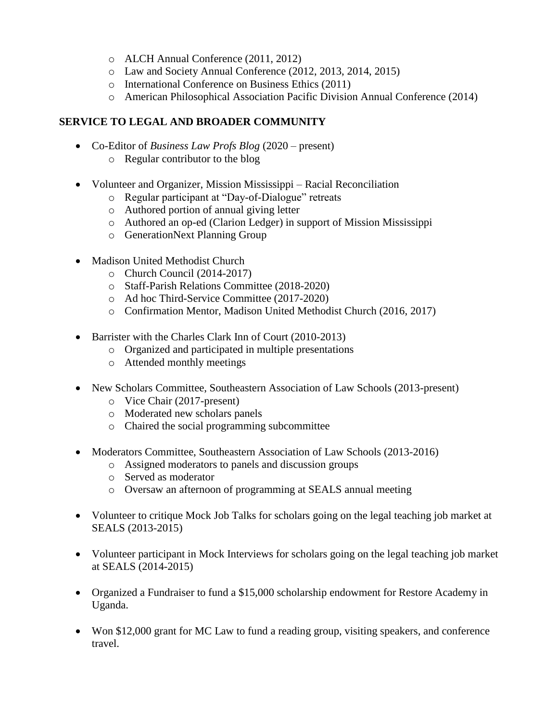- o ALCH Annual Conference (2011, 2012)
- o Law and Society Annual Conference (2012, 2013, 2014, 2015)
- o International Conference on Business Ethics (2011)
- o American Philosophical Association Pacific Division Annual Conference (2014)

## **SERVICE TO LEGAL AND BROADER COMMUNITY**

- Co-Editor of *Business Law Profs Blog* (2020 present)
	- o Regular contributor to the blog
- Volunteer and Organizer, Mission Mississippi Racial Reconciliation
	- o Regular participant at "Day-of-Dialogue" retreats
	- o Authored portion of annual giving letter
	- o Authored an op-ed (Clarion Ledger) in support of Mission Mississippi
	- o GenerationNext Planning Group
- Madison United Methodist Church
	- o Church Council (2014-2017)
	- o Staff-Parish Relations Committee (2018-2020)
	- o Ad hoc Third-Service Committee (2017-2020)
	- o Confirmation Mentor, Madison United Methodist Church (2016, 2017)
- Barrister with the Charles Clark Inn of Court (2010-2013)
	- o Organized and participated in multiple presentations
	- o Attended monthly meetings
- New Scholars Committee, Southeastern Association of Law Schools (2013-present)
	- o Vice Chair (2017-present)
	- o Moderated new scholars panels
	- o Chaired the social programming subcommittee
- Moderators Committee, Southeastern Association of Law Schools (2013-2016)
	- o Assigned moderators to panels and discussion groups
	- o Served as moderator
	- o Oversaw an afternoon of programming at SEALS annual meeting
- Volunteer to critique Mock Job Talks for scholars going on the legal teaching job market at SEALS (2013-2015)
- Volunteer participant in Mock Interviews for scholars going on the legal teaching job market at SEALS (2014-2015)
- Organized a Fundraiser to fund a \$15,000 scholarship endowment for Restore Academy in Uganda.
- Won \$12,000 grant for MC Law to fund a reading group, visiting speakers, and conference travel.